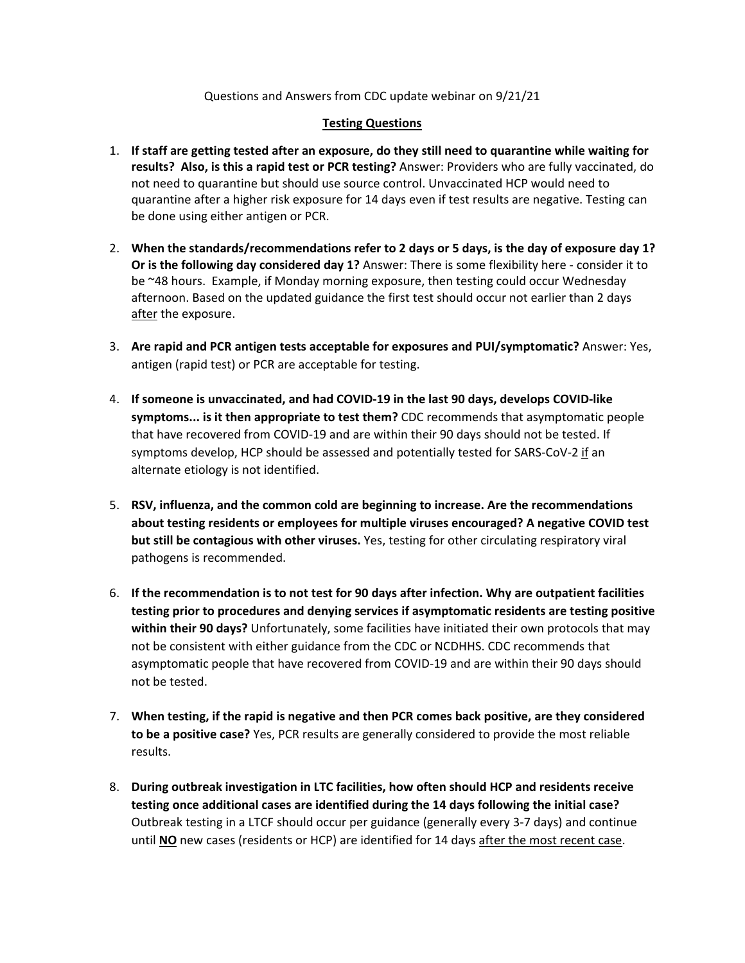#### Questions and Answers from CDC update webinar on 9/21/21

#### **Testing Questions**

- 1. **If staff are getting tested after an exposure, do they still need to quarantine while waiting for results? Also, is this a rapid test or PCR testing?** Answer: Providers who are fully vaccinated, do not need to quarantine but should use source control. Unvaccinated HCP would need to quarantine after a higher risk exposure for 14 days even if test results are negative. Testing can be done using either antigen or PCR.
- 2. **When the standards/recommendations refer to 2 days or 5 days, is the day of exposure day 1? Or is the following day considered day 1?** Answer: There is some flexibility here - consider it to be ~48 hours. Example, if Monday morning exposure, then testing could occur Wednesday afternoon. Based on the updated guidance the first test should occur not earlier than 2 days after the exposure.
- 3. **Are rapid and PCR antigen tests acceptable for exposures and PUI/symptomatic?** Answer: Yes, antigen (rapid test) or PCR are acceptable for testing.
- 4. **If someone is unvaccinated, and had COVID-19 in the last 90 days, develops COVID-like symptoms... is it then appropriate to test them?** CDC recommends that asymptomatic people that have recovered from COVID-19 and are within their 90 days should not be tested. If symptoms develop, HCP should be assessed and potentially tested for SARS-CoV-2 if an alternate etiology is not identified.
- 5. **RSV, influenza, and the common cold are beginning to increase. Are the recommendations about testing residents or employees for multiple viruses encouraged? A negative COVID test but still be contagious with other viruses.** Yes, testing for other circulating respiratory viral pathogens is recommended.
- 6. **If the recommendation is to not test for 90 days after infection. Why are outpatient facilities testing prior to procedures and denying services if asymptomatic residents are testing positive within their 90 days?** Unfortunately, some facilities have initiated their own protocols that may not be consistent with either guidance from the CDC or NCDHHS. CDC recommends that asymptomatic people that have recovered from COVID-19 and are within their 90 days should not be tested.
- 7. **When testing, if the rapid is negative and then PCR comes back positive, are they considered to be a positive case?** Yes, PCR results are generally considered to provide the most reliable results.
- 8. **During outbreak investigation in LTC facilities, how often should HCP and residents receive testing once additional cases are identified during the 14 days following the initial case?** Outbreak testing in a LTCF should occur per guidance (generally every 3-7 days) and continue until **NO** new cases (residents or HCP) are identified for 14 days after the most recent case.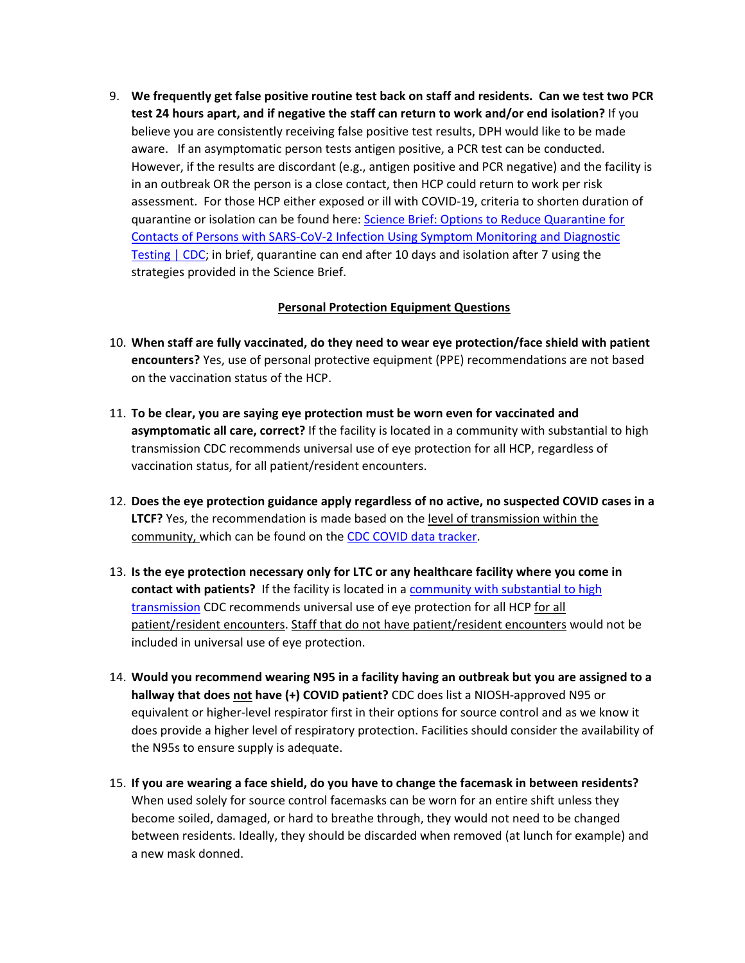9. **We frequently get false positive routine test back on staff and residents. Can we test two PCR test 24 hours apart, and if negative the staff can return to work and/or end isolation?** If you believe you are consistently receiving false positive test results, DPH would like to be made aware. If an asymptomatic person tests antigen positive, a PCR test can be conducted. However, if the results are discordant (e.g., antigen positive and PCR negative) and the facility is in an outbreak OR the person is a close contact, then HCP could return to work per risk assessment. For those HCP either exposed or ill with COVID-19, criteria to shorten duration of quarantine or isolation can be found here: [Science Brief: Options to Reduce Quarantine for](https://www.cdc.gov/coronavirus/2019-ncov/science/science-briefs/scientific-brief-options-to-reduce-quarantine.html)  [Contacts of Persons with SARS-CoV-2 Infection Using Symptom Monitoring and Diagnostic](https://www.cdc.gov/coronavirus/2019-ncov/science/science-briefs/scientific-brief-options-to-reduce-quarantine.html)  [Testing | CDC;](https://www.cdc.gov/coronavirus/2019-ncov/science/science-briefs/scientific-brief-options-to-reduce-quarantine.html) in brief, quarantine can end after 10 days and isolation after 7 using the strategies provided in the Science Brief.

# **Personal Protection Equipment Questions**

- 10. **When staff are fully vaccinated, do they need to wear eye protection/face shield with patient encounters?** Yes, use of personal protective equipment (PPE) recommendations are not based on the vaccination status of the HCP.
- 11. **To be clear, you are saying eye protection must be worn even for vaccinated and asymptomatic all care, correct?** If the facility is located in a community with substantial to high transmission CDC recommends universal use of eye protection for all HCP, regardless of vaccination status, for all patient/resident encounters.
- 12. **Does the eye protection guidance apply regardless of no active, no suspected COVID cases in a LTCF?** Yes, the recommendation is made based on the level of transmission within the community, which can be found on the [CDC COVID data tracker.](https://covid.cdc.gov/covid-data-tracker/#datatracker-home)
- 13. **Is the eye protection necessary only for LTC or any healthcare facility where you come in contact with patients?** If the facility is located in a [community with substantial to high](https://covid.cdc.gov/covid-data-tracker/#datatracker-home)  [transmission](https://covid.cdc.gov/covid-data-tracker/#datatracker-home) CDC recommends universal use of eye protection for all HCP for all patient/resident encounters. Staff that do not have patient/resident encounters would not be included in universal use of eye protection.
- 14. **Would you recommend wearing N95 in a facility having an outbreak but you are assigned to a hallway that does not have (+) COVID patient?** CDC does list a NIOSH-approved N95 or equivalent or higher-level respirator first in their options for source control and as we know it does provide a higher level of respiratory protection. Facilities should consider the availability of the N95s to ensure supply is adequate.
- 15. **If you are wearing a face shield, do you have to change the facemask in between residents?** When used solely for source control facemasks can be worn for an entire shift unless they become soiled, damaged, or hard to breathe through, they would not need to be changed between residents. Ideally, they should be discarded when removed (at lunch for example) and a new mask donned.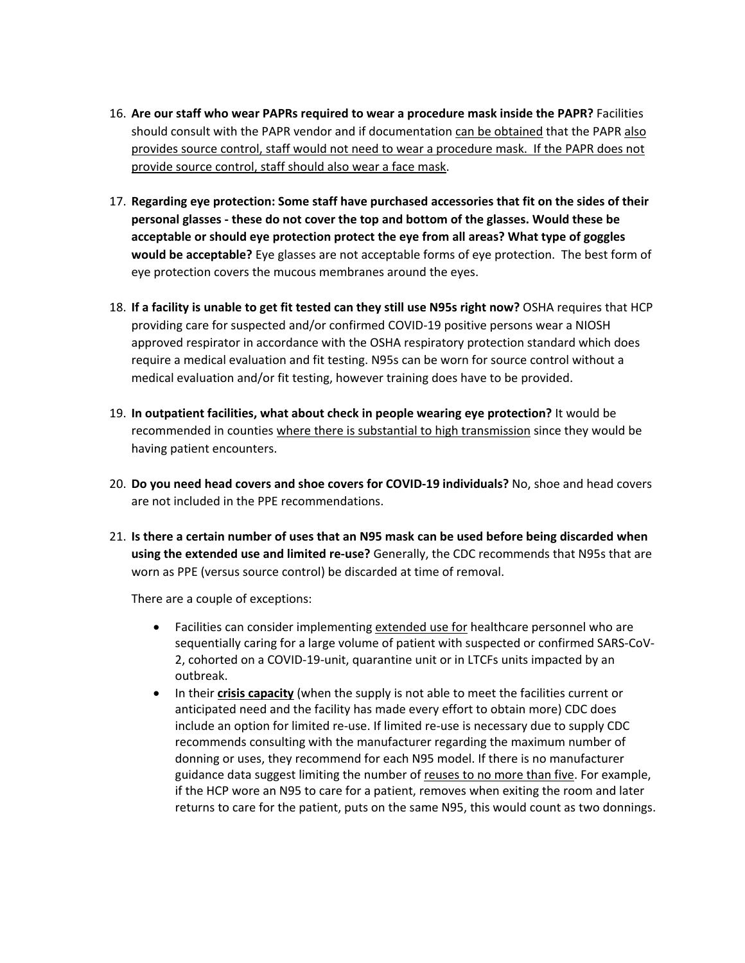- 16. **Are our staff who wear PAPRs required to wear a procedure mask inside the PAPR?** Facilities should consult with the PAPR vendor and if documentation can be obtained that the PAPR also provides source control, staff would not need to wear a procedure mask. If the PAPR does not provide source control, staff should also wear a face mask.
- 17. **Regarding eye protection: Some staff have purchased accessories that fit on the sides of their personal glasses - these do not cover the top and bottom of the glasses. Would these be acceptable or should eye protection protect the eye from all areas? What type of goggles would be acceptable?** Eye glasses are not acceptable forms of eye protection. The best form of eye protection covers the mucous membranes around the eyes.
- 18. **If a facility is unable to get fit tested can they still use N95s right now?** OSHA requires that HCP providing care for suspected and/or confirmed COVID-19 positive persons wear a NIOSH approved respirator in accordance with the OSHA respiratory protection standard which does require a medical evaluation and fit testing. N95s can be worn for source control without a medical evaluation and/or fit testing, however training does have to be provided.
- 19. **In outpatient facilities, what about check in people wearing eye protection?** It would be recommended in counties where there is substantial to high transmission since they would be having patient encounters.
- 20. **Do you need head covers and shoe covers for COVID-19 individuals?** No, shoe and head covers are not included in the PPE recommendations.
- 21. **Is there a certain number of uses that an N95 mask can be used before being discarded when using the extended use and limited re-use?** Generally, the CDC recommends that N95s that are worn as PPE (versus source control) be discarded at time of removal.

There are a couple of exceptions:

- Facilities can consider implementing extended use for healthcare personnel who are sequentially caring for a large volume of patient with suspected or confirmed SARS-CoV-2, cohorted on a COVID-19-unit, quarantine unit or in LTCFs units impacted by an outbreak.
- In their **crisis capacity** (when the supply is not able to meet the facilities current or anticipated need and the facility has made every effort to obtain more) CDC does include an option for limited re-use. If limited re-use is necessary due to supply CDC recommends consulting with the manufacturer regarding the maximum number of donning or uses, they recommend for each N95 model. If there is no manufacturer guidance data suggest limiting the number of reuses to no more than five. For example, if the HCP wore an N95 to care for a patient, removes when exiting the room and later returns to care for the patient, puts on the same N95, this would count as two donnings.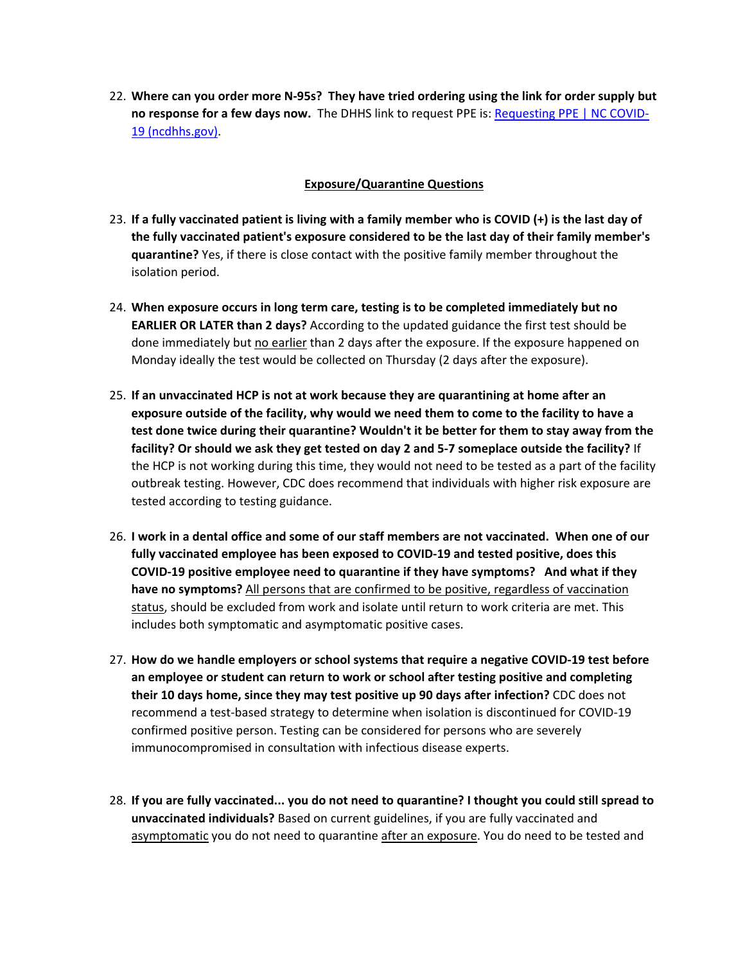22. **Where can you order more N-95s? They have tried ordering using the link for order supply but no response for a few days now.** The DHHS link to request PPE is[: Requesting PPE | NC COVID-](https://covid19.ncdhhs.gov/information/health-care/requesting-ppe)[19 \(ncdhhs.gov\).](https://covid19.ncdhhs.gov/information/health-care/requesting-ppe)

### **Exposure/Quarantine Questions**

- 23. **If a fully vaccinated patient is living with a family member who is COVID (+) is the last day of the fully vaccinated patient's exposure considered to be the last day of their family member's quarantine?** Yes, if there is close contact with the positive family member throughout the isolation period.
- 24. **When exposure occurs in long term care, testing is to be completed immediately but no EARLIER OR LATER than 2 days?** According to the updated guidance the first test should be done immediately but no earlier than 2 days after the exposure. If the exposure happened on Monday ideally the test would be collected on Thursday (2 days after the exposure).
- 25. **If an unvaccinated HCP is not at work because they are quarantining at home after an exposure outside of the facility, why would we need them to come to the facility to have a test done twice during their quarantine? Wouldn't it be better for them to stay away from the facility? Or should we ask they get tested on day 2 and 5-7 someplace outside the facility?** If the HCP is not working during this time, they would not need to be tested as a part of the facility outbreak testing. However, CDC does recommend that individuals with higher risk exposure are tested according to testing guidance.
- 26. **I work in a dental office and some of our staff members are not vaccinated. When one of our fully vaccinated employee has been exposed to COVID-19 and tested positive, does this COVID-19 positive employee need to quarantine if they have symptoms? And what if they have no symptoms?** All persons that are confirmed to be positive, regardless of vaccination status, should be excluded from work and isolate until return to work criteria are met. This includes both symptomatic and asymptomatic positive cases.
- 27. **How do we handle employers or school systems that require a negative COVID-19 test before an employee or student can return to work or school after testing positive and completing their 10 days home, since they may test positive up 90 days after infection?** CDC does not recommend a test-based strategy to determine when isolation is discontinued for COVID-19 confirmed positive person. Testing can be considered for persons who are severely immunocompromised in consultation with infectious disease experts.
- 28. **If you are fully vaccinated... you do not need to quarantine? I thought you could still spread to unvaccinated individuals?** Based on current guidelines, if you are fully vaccinated and asymptomatic you do not need to quarantine after an exposure. You do need to be tested and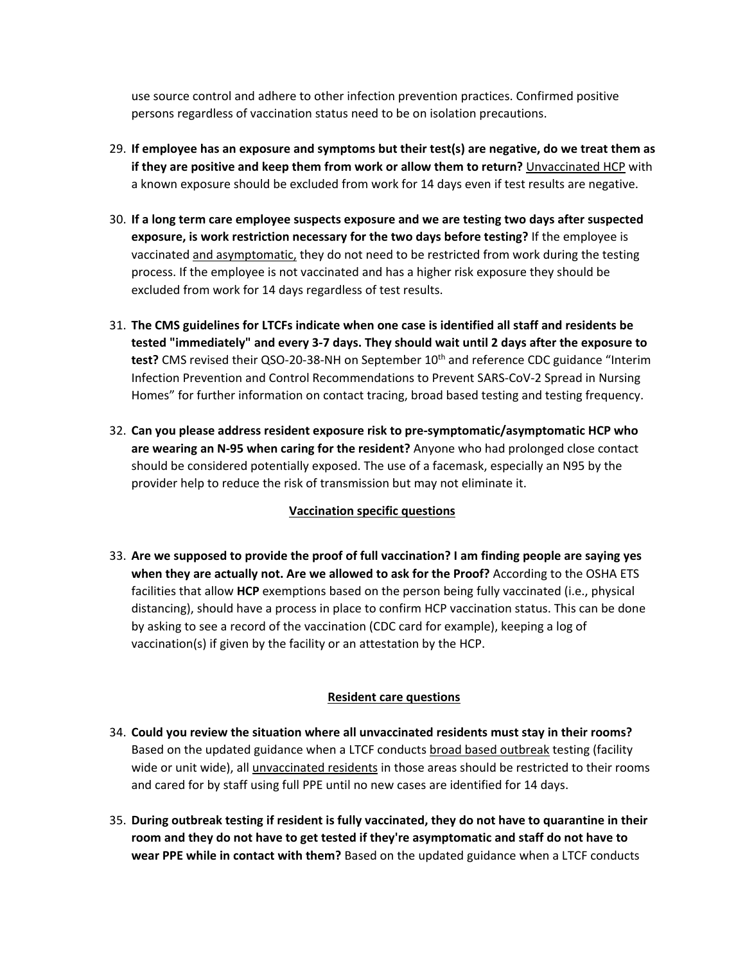use source control and adhere to other infection prevention practices. Confirmed positive persons regardless of vaccination status need to be on isolation precautions.

- 29. **If employee has an exposure and symptoms but their test(s) are negative, do we treat them as if they are positive and keep them from work or allow them to return?** Unvaccinated HCP with a known exposure should be excluded from work for 14 days even if test results are negative.
- 30. **If a long term care employee suspects exposure and we are testing two days after suspected exposure, is work restriction necessary for the two days before testing?** If the employee is vaccinated and asymptomatic, they do not need to be restricted from work during the testing process. If the employee is not vaccinated and has a higher risk exposure they should be excluded from work for 14 days regardless of test results.
- 31. **The CMS guidelines for LTCFs indicate when one case is identified all staff and residents be tested "immediately" and every 3-7 days. They should wait until 2 days after the exposure to**  test? CMS revised their QSO-20-38-NH on September 10<sup>th</sup> and reference CDC guidance "Interim Infection Prevention and Control Recommendations to Prevent SARS-CoV-2 Spread in Nursing Homes" for further information on contact tracing, broad based testing and testing frequency.
- 32. **Can you please address resident exposure risk to pre-symptomatic/asymptomatic HCP who are wearing an N-95 when caring for the resident?** Anyone who had prolonged close contact should be considered potentially exposed. The use of a facemask, especially an N95 by the provider help to reduce the risk of transmission but may not eliminate it.

# **Vaccination specific questions**

33. **Are we supposed to provide the proof of full vaccination? I am finding people are saying yes when they are actually not. Are we allowed to ask for the Proof?** According to the OSHA ETS facilities that allow **HCP** exemptions based on the person being fully vaccinated (i.e., physical distancing), should have a process in place to confirm HCP vaccination status. This can be done by asking to see a record of the vaccination (CDC card for example), keeping a log of vaccination(s) if given by the facility or an attestation by the HCP.

### **Resident care questions**

- 34. **Could you review the situation where all unvaccinated residents must stay in their rooms?** Based on the updated guidance when a LTCF conducts broad based outbreak testing (facility wide or unit wide), all unvaccinated residents in those areas should be restricted to their rooms and cared for by staff using full PPE until no new cases are identified for 14 days.
- 35. **During outbreak testing if resident is fully vaccinated, they do not have to quarantine in their room and they do not have to get tested if they're asymptomatic and staff do not have to wear PPE while in contact with them?** Based on the updated guidance when a LTCF conducts